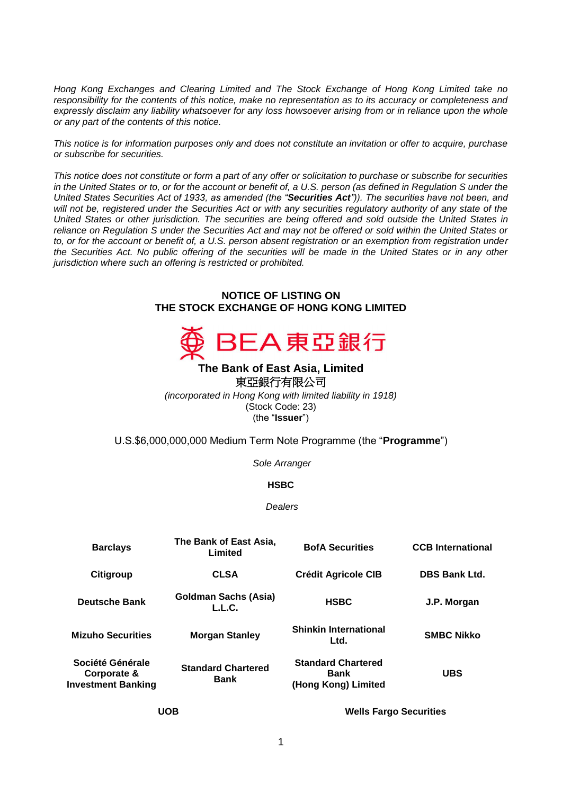*Hong Kong Exchanges and Clearing Limited and The Stock Exchange of Hong Kong Limited take no responsibility for the contents of this notice, make no representation as to its accuracy or completeness and expressly disclaim any liability whatsoever for any loss howsoever arising from or in reliance upon the whole or any part of the contents of this notice.*

*This notice is for information purposes only and does not constitute an invitation or offer to acquire, purchase or subscribe for securities.*

*This notice does not constitute or form a part of any offer or solicitation to purchase or subscribe for securities in the United States or to, or for the account or benefit of, a U.S. person (as defined in Regulation S under the United States Securities Act of 1933, as amended (the "Securities Act")). The securities have not been, and will not be, registered under the Securities Act or with any securities regulatory authority of any state of the United States or other jurisdiction. The securities are being offered and sold outside the United States in reliance on Regulation S under the Securities Act and may not be offered or sold within the United States or to, or for the account or benefit of, a U.S. person absent registration or an exemption from registration under the Securities Act. No public offering of the securities will be made in the United States or in any other jurisdiction where such an offering is restricted or prohibited.*

#### **NOTICE OF LISTING ON THE STOCK EXCHANGE OF HONG KONG LIMITED**



# **The Bank of East Asia, Limited**  東亞銀行有限公司

*(incorporated in Hong Kong with limited liability in 1918)* (Stock Code: 23) (the "**Issuer**")

### U.S.\$6,000,000,000 Medium Term Note Programme (the "**Programme**")

*Sole Arranger*

### **HSBC**

*Dealers*

| <b>Barclays</b>                                              | The Bank of East Asia,<br>Limited        | <b>BofA Securities</b>                                          | <b>CCB</b> International |
|--------------------------------------------------------------|------------------------------------------|-----------------------------------------------------------------|--------------------------|
| Citigroup                                                    | <b>CLSA</b>                              | <b>Crédit Agricole CIB</b>                                      | <b>DBS Bank Ltd.</b>     |
| <b>Deutsche Bank</b>                                         | <b>Goldman Sachs (Asia)</b><br>L.L.C.    | <b>HSBC</b>                                                     | J.P. Morgan              |
| <b>Mizuho Securities</b>                                     | <b>Morgan Stanley</b>                    | <b>Shinkin International</b><br>Ltd.                            | <b>SMBC Nikko</b>        |
| Société Générale<br>Corporate &<br><b>Investment Banking</b> | <b>Standard Chartered</b><br><b>Bank</b> | <b>Standard Chartered</b><br><b>Bank</b><br>(Hong Kong) Limited | <b>UBS</b>               |
|                                                              |                                          |                                                                 |                          |

**UOB Wells Fargo Securities**